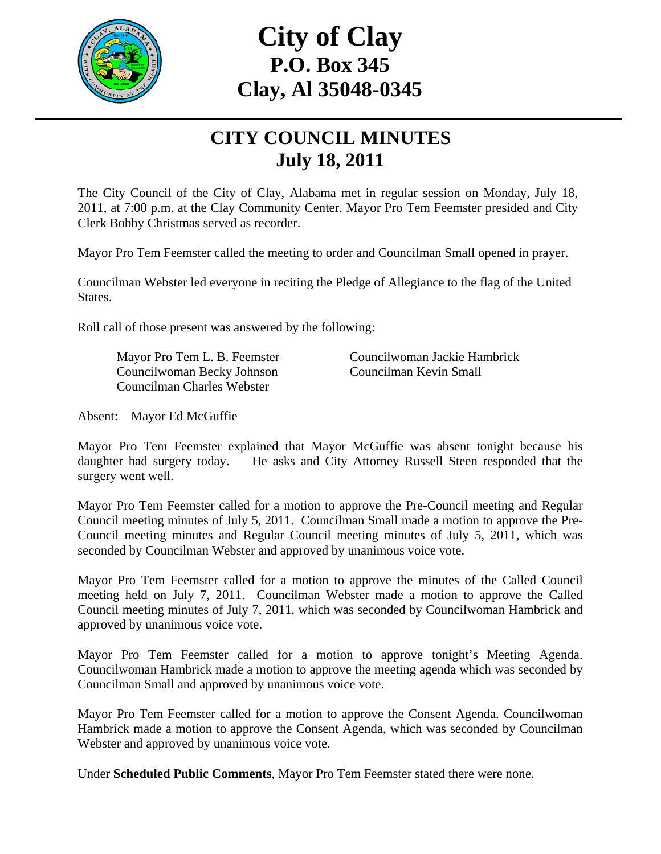

# **City of Clay P.O. Box 345 Clay, Al 35048-0345**

## **CITY COUNCIL MINUTES July 18, 2011**

The City Council of the City of Clay, Alabama met in regular session on Monday, July 18, 2011, at 7:00 p.m. at the Clay Community Center. Mayor Pro Tem Feemster presided and City Clerk Bobby Christmas served as recorder.

Mayor Pro Tem Feemster called the meeting to order and Councilman Small opened in prayer.

Councilman Webster led everyone in reciting the Pledge of Allegiance to the flag of the United States.

Roll call of those present was answered by the following:

 Councilwoman Becky Johnson Councilman Kevin Small Councilman Charles Webster

Mayor Pro Tem L. B. Feemster Councilwoman Jackie Hambrick

Absent: Mayor Ed McGuffie

Mayor Pro Tem Feemster explained that Mayor McGuffie was absent tonight because his daughter had surgery today. He asks and City Attorney Russell Steen responded that the surgery went well.

Mayor Pro Tem Feemster called for a motion to approve the Pre-Council meeting and Regular Council meeting minutes of July 5, 2011. Councilman Small made a motion to approve the Pre-Council meeting minutes and Regular Council meeting minutes of July 5, 2011, which was seconded by Councilman Webster and approved by unanimous voice vote.

Mayor Pro Tem Feemster called for a motion to approve the minutes of the Called Council meeting held on July 7, 2011. Councilman Webster made a motion to approve the Called Council meeting minutes of July 7, 2011, which was seconded by Councilwoman Hambrick and approved by unanimous voice vote.

Mayor Pro Tem Feemster called for a motion to approve tonight's Meeting Agenda. Councilwoman Hambrick made a motion to approve the meeting agenda which was seconded by Councilman Small and approved by unanimous voice vote.

Mayor Pro Tem Feemster called for a motion to approve the Consent Agenda. Councilwoman Hambrick made a motion to approve the Consent Agenda, which was seconded by Councilman Webster and approved by unanimous voice vote.

Under **Scheduled Public Comments**, Mayor Pro Tem Feemster stated there were none.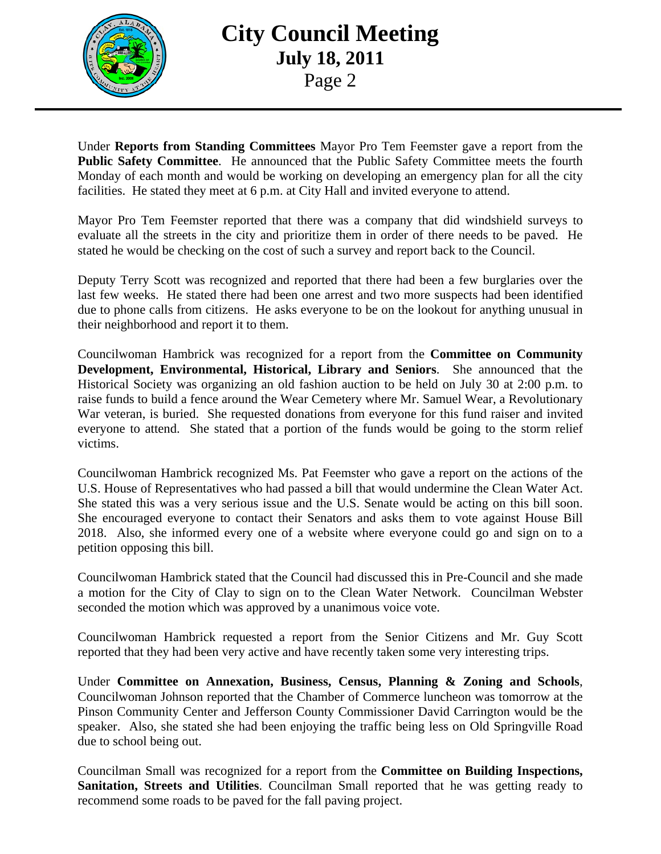

### **City Council Meeting July 18, 2011**  Page 2

Under **Reports from Standing Committees** Mayor Pro Tem Feemster gave a report from the **Public Safety Committee**. He announced that the Public Safety Committee meets the fourth Monday of each month and would be working on developing an emergency plan for all the city facilities. He stated they meet at 6 p.m. at City Hall and invited everyone to attend.

Mayor Pro Tem Feemster reported that there was a company that did windshield surveys to evaluate all the streets in the city and prioritize them in order of there needs to be paved. He stated he would be checking on the cost of such a survey and report back to the Council.

Deputy Terry Scott was recognized and reported that there had been a few burglaries over the last few weeks. He stated there had been one arrest and two more suspects had been identified due to phone calls from citizens. He asks everyone to be on the lookout for anything unusual in their neighborhood and report it to them.

Councilwoman Hambrick was recognized for a report from the **Committee on Community Development, Environmental, Historical, Library and Seniors**. She announced that the Historical Society was organizing an old fashion auction to be held on July 30 at 2:00 p.m. to raise funds to build a fence around the Wear Cemetery where Mr. Samuel Wear, a Revolutionary War veteran, is buried. She requested donations from everyone for this fund raiser and invited everyone to attend. She stated that a portion of the funds would be going to the storm relief victims.

Councilwoman Hambrick recognized Ms. Pat Feemster who gave a report on the actions of the U.S. House of Representatives who had passed a bill that would undermine the Clean Water Act. She stated this was a very serious issue and the U.S. Senate would be acting on this bill soon. She encouraged everyone to contact their Senators and asks them to vote against House Bill 2018. Also, she informed every one of a website where everyone could go and sign on to a petition opposing this bill.

Councilwoman Hambrick stated that the Council had discussed this in Pre-Council and she made a motion for the City of Clay to sign on to the Clean Water Network. Councilman Webster seconded the motion which was approved by a unanimous voice vote.

Councilwoman Hambrick requested a report from the Senior Citizens and Mr. Guy Scott reported that they had been very active and have recently taken some very interesting trips.

Under **Committee on Annexation, Business, Census, Planning & Zoning and Schools**, Councilwoman Johnson reported that the Chamber of Commerce luncheon was tomorrow at the Pinson Community Center and Jefferson County Commissioner David Carrington would be the speaker. Also, she stated she had been enjoying the traffic being less on Old Springville Road due to school being out.

Councilman Small was recognized for a report from the **Committee on Building Inspections, Sanitation, Streets and Utilities**. Councilman Small reported that he was getting ready to recommend some roads to be paved for the fall paving project.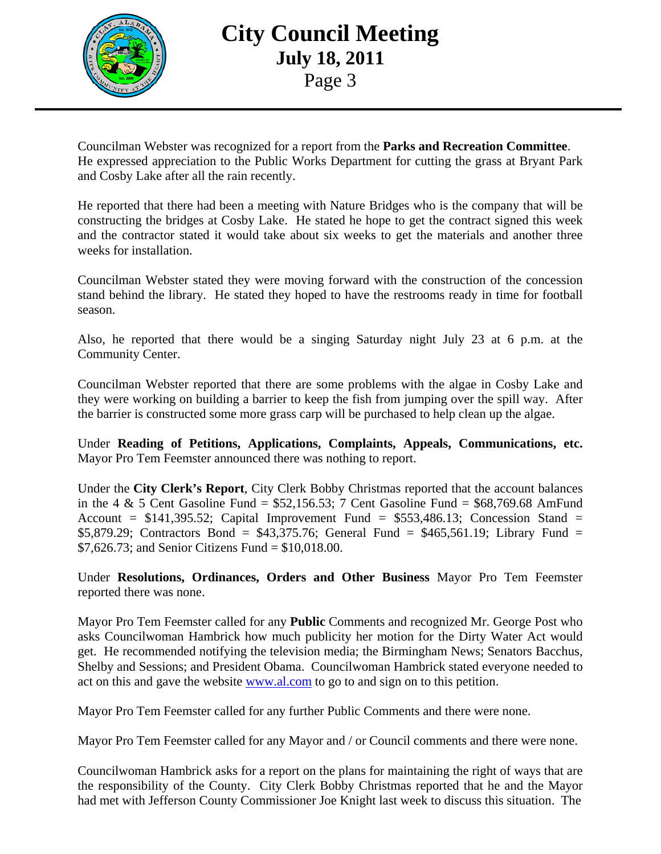

### **City Council Meeting July 18, 2011**  Page 3

Councilman Webster was recognized for a report from the **Parks and Recreation Committee**. He expressed appreciation to the Public Works Department for cutting the grass at Bryant Park and Cosby Lake after all the rain recently.

He reported that there had been a meeting with Nature Bridges who is the company that will be constructing the bridges at Cosby Lake. He stated he hope to get the contract signed this week and the contractor stated it would take about six weeks to get the materials and another three weeks for installation.

Councilman Webster stated they were moving forward with the construction of the concession stand behind the library. He stated they hoped to have the restrooms ready in time for football season.

Also, he reported that there would be a singing Saturday night July 23 at 6 p.m. at the Community Center.

Councilman Webster reported that there are some problems with the algae in Cosby Lake and they were working on building a barrier to keep the fish from jumping over the spill way. After the barrier is constructed some more grass carp will be purchased to help clean up the algae.

Under **Reading of Petitions, Applications, Complaints, Appeals, Communications, etc.** Mayor Pro Tem Feemster announced there was nothing to report.

Under the **City Clerk's Report**, City Clerk Bobby Christmas reported that the account balances in the 4 & 5 Cent Gasoline Fund =  $$52,156.53$ ; 7 Cent Gasoline Fund =  $$68,769.68$  AmFund Account =  $$141,395.52$ ; Capital Improvement Fund =  $$553,486.13$ ; Concession Stand = \$5,879.29; Contractors Bond = \$43,375.76; General Fund = \$465,561.19; Library Fund = \$7,626.73; and Senior Citizens Fund = \$10,018.00.

Under **Resolutions, Ordinances, Orders and Other Business** Mayor Pro Tem Feemster reported there was none.

Mayor Pro Tem Feemster called for any **Public** Comments and recognized Mr. George Post who asks Councilwoman Hambrick how much publicity her motion for the Dirty Water Act would get. He recommended notifying the television media; the Birmingham News; Senators Bacchus, Shelby and Sessions; and President Obama. Councilwoman Hambrick stated everyone needed to act on this and gave the website www.al.com to go to and sign on to this petition.

Mayor Pro Tem Feemster called for any further Public Comments and there were none.

Mayor Pro Tem Feemster called for any Mayor and / or Council comments and there were none.

Councilwoman Hambrick asks for a report on the plans for maintaining the right of ways that are the responsibility of the County. City Clerk Bobby Christmas reported that he and the Mayor had met with Jefferson County Commissioner Joe Knight last week to discuss this situation. The